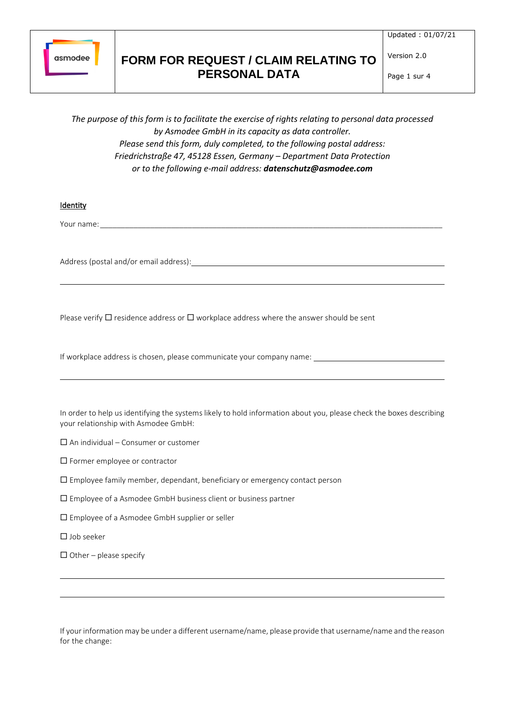

Updated : 01/07/21

Page 1 sur 4

Version 2.0

*The purpose of this form is to facilitate the exercise of rights relating to personal data processed by Asmodee GmbH in its capacity as data controller. Please send this form, duly completed, to the following postal address: Friedrichstraße 47, 45128 Essen, Germany – Department Data Protection or to the following e-mail address: datenschutz@asmodee.com*

Identity

Your name:

Address (postal and/or email address):

Please verify  $\Box$  residence address or  $\Box$  workplace address where the answer should be sent

If workplace address is chosen, please communicate your company name:

In order to help us identifying the systems likely to hold information about you, please check the boxes describing your relationship with Asmodee GmbH:

 $\Box$  An individual – Consumer or customer

 $\square$  Former employee or contractor

 $\square$  Employee family member, dependant, beneficiary or emergency contact person

 $\square$  Employee of a Asmodee GmbH business client or business partner

Employee of a Asmodee GmbH supplier or seller

 $\Box$  Job seeker

 $\Box$  Other – please specify

If your information may be under a different username/name, please provide that username/name and the reason for the change: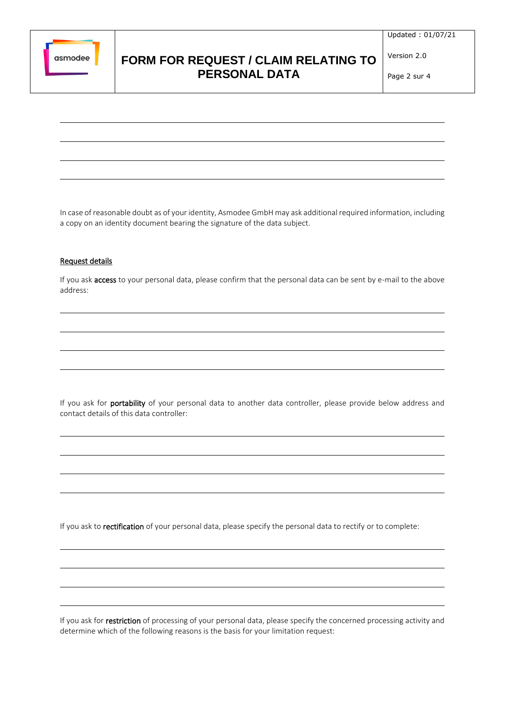

Updated : 01/07/21

Page 2 sur 4

Version 2.0

In case of reasonable doubt as of your identity, Asmodee GmbH may ask additional required information, including a copy on an identity document bearing the signature of the data subject.

#### Request details

If you ask access to your personal data, please confirm that the personal data can be sent by e-mail to the above address:

If you ask for portability of your personal data to another data controller, please provide below address and contact details of this data controller:

If you ask to rectification of your personal data, please specify the personal data to rectify or to complete:

If you ask for restriction of processing of your personal data, please specify the concerned processing activity and determine which of the following reasons is the basis for your limitation request: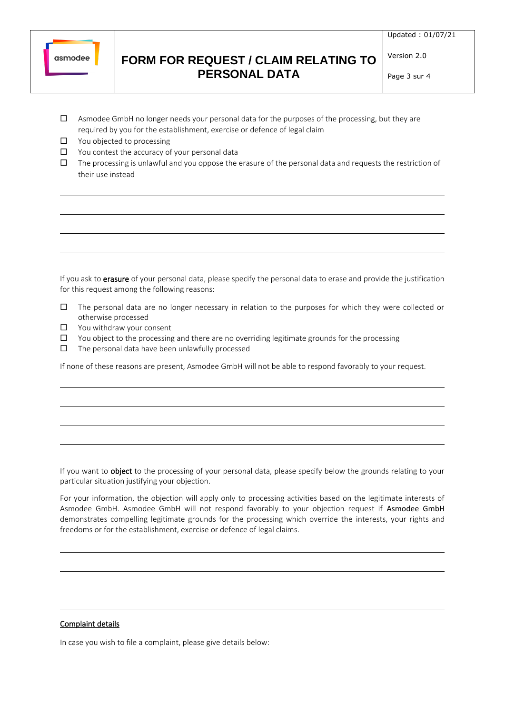

Updated : 01/07/21

Page 3 sur 4

Version 2.0

- $\Box$  Asmodee GmbH no longer needs your personal data for the purposes of the processing, but they are required by you for the establishment, exercise or defence of legal claim
- □ You objected to processing
- $\square$  You contest the accuracy of your personal data
- $\Box$  The processing is unlawful and you oppose the erasure of the personal data and requests the restriction of their use instead

If you ask to erasure of your personal data, please specify the personal data to erase and provide the justification for this request among the following reasons:

- $\Box$  The personal data are no longer necessary in relation to the purposes for which they were collected or otherwise processed
- □ You withdraw your consent
- $\Box$  You object to the processing and there are no overriding legitimate grounds for the processing
- $\square$  The personal data have been unlawfully processed

If none of these reasons are present, Asmodee GmbH will not be able to respond favorably to your request.

If you want to object to the processing of your personal data, please specify below the grounds relating to your particular situation justifying your objection.

For your information, the objection will apply only to processing activities based on the legitimate interests of Asmodee GmbH. Asmodee GmbH will not respond favorably to your objection request if Asmodee GmbH demonstrates compelling legitimate grounds for the processing which override the interests, your rights and freedoms or for the establishment, exercise or defence of legal claims.

#### Complaint details

In case you wish to file a complaint, please give details below: